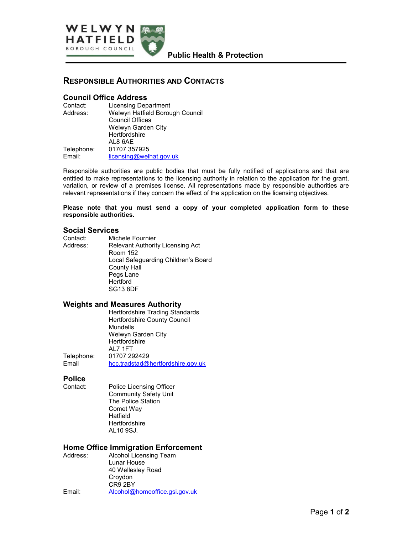

# RESPONSIBLE AUTHORITIES AND CONTACTS

## Council Office Address

| <b>Licensing Department</b>     |
|---------------------------------|
| Welwyn Hatfield Borough Council |
| <b>Council Offices</b>          |
| Welwyn Garden City              |
| Hertfordshire                   |
| AL8 6AE                         |
| 01707 357925                    |
| licensing@welhat.gov.uk         |
|                                 |

Responsible authorities are public bodies that must be fully notified of applications and that are entitled to make representations to the licensing authority in relation to the application for the grant, variation, or review of a premises license. All representations made by responsible authorities are relevant representations if they concern the effect of the application on the licensing objectives.

Please note that you must send a copy of your completed application form to these responsible authorities.

#### Social Services

| Contact: | Michele Fournier                    |
|----------|-------------------------------------|
| Address: | Relevant Authority Licensing Act    |
|          | <b>Room 152</b>                     |
|          | Local Safeguarding Children's Board |
|          | <b>County Hall</b>                  |
|          | Pegs Lane                           |
|          | Hertford                            |
|          | <b>SG13 8DF</b>                     |

#### Weights and Measures Authority

|            | <b>Hertfordshire Trading Standards</b> |
|------------|----------------------------------------|
|            | Hertfordshire County Council           |
|            | Mundells                               |
|            | Welwyn Garden City                     |
|            | Hertfordshire                          |
|            | AL 7 1 F T                             |
| Telephone: | 01707 292429                           |
| Email      | hcc.tradstad@hertfordshire.gov.uk      |
|            |                                        |

# **Police**<br>Contact:

Police Licensing Officer Community Safety Unit The Police Station Comet Way Hatfield **Hertfordshire** AL10 9SJ.

#### Home Office Immigration Enforcement

| Address: | Alcohol Licensing Team        |
|----------|-------------------------------|
|          | Lunar House                   |
|          | 40 Wellesley Road             |
|          | Croydon                       |
|          | CR9 2BY                       |
| Email:   | Alcohol@homeoffice.gsi.gov.uk |